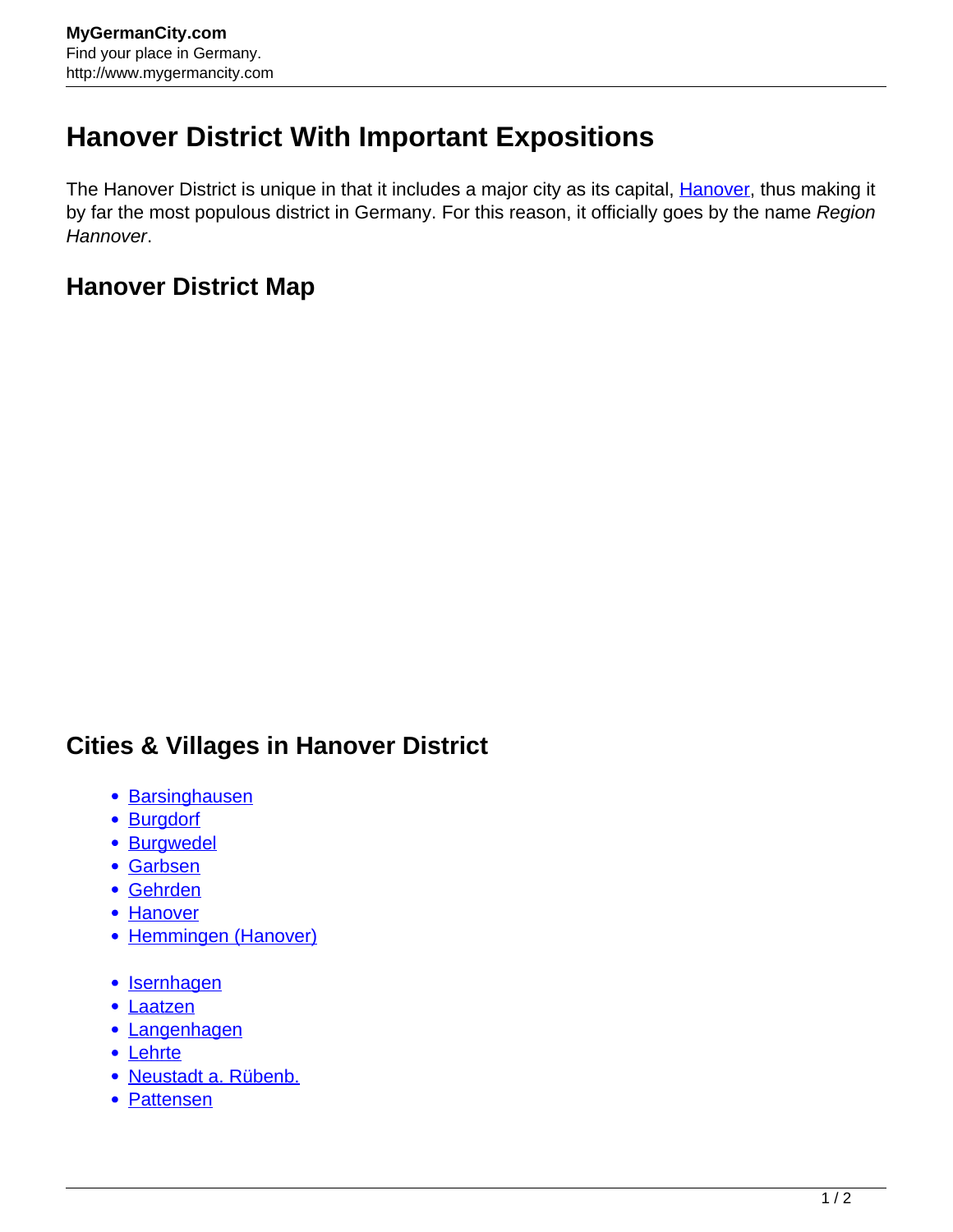## **Hanover District With Important Expositions**

The [Hanover](http://www.mygermancity.com/hanover) District is unique in that it includes a major city as its capital, Hanover, thus making it by far the most populous district in Germany. For this reason, it officially goes by the name Region Hannover.

## **Hanover District Map**

## **Cities & Villages in Hanover District**

- [Barsinghausen](http://www.mygermancity.com/barsinghausen)
- **[Burgdorf](http://www.mygermancity.com/burgdorf)**
- [Burgwedel](http://www.mygermancity.com/burgwedel)
- [Garbsen](http://www.mygermancity.com/garbsen)
- [Gehrden](http://www.mygermancity.com/gehrden)
- [Hanover](http://www.mygermancity.com/hanover)
- [Hemmingen \(Hanover\)](http://www.mygermancity.com/hemmingen-hanover)
- [Isernhagen](http://www.mygermancity.com/isernhagen)
- [Laatzen](http://www.mygermancity.com/laatzen)
- [Langenhagen](http://www.mygermancity.com/langenhagen)
- [Lehrte](http://www.mygermancity.com/lehrte)
- [Neustadt a. Rübenb.](http://www.mygermancity.com/neustadt-ruebenberge)
- [Pattensen](http://www.mygermancity.com/pattensen)